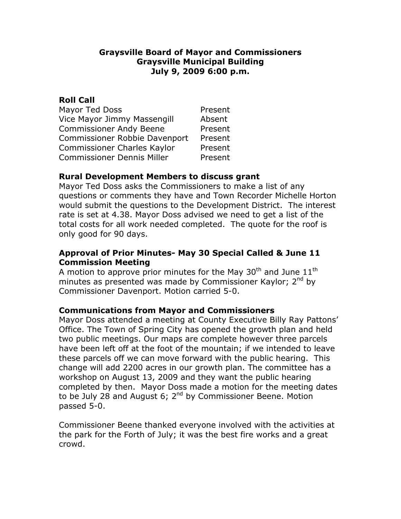### **Graysville Board of Mayor and Commissioners Graysville Municipal Building July 9, 2009 6:00 p.m.**

## **Roll Call**

| Mayor Ted Doss                       | Present |
|--------------------------------------|---------|
| Vice Mayor Jimmy Massengill          | Absent  |
| <b>Commissioner Andy Beene</b>       | Present |
| <b>Commissioner Robbie Davenport</b> | Present |
| Commissioner Charles Kaylor          | Present |
| <b>Commissioner Dennis Miller</b>    | Present |

# **Rural Development Members to discuss grant**

Mayor Ted Doss asks the Commissioners to make a list of any questions or comments they have and Town Recorder Michelle Horton would submit the questions to the Development District. The interest rate is set at 4.38. Mayor Doss advised we need to get a list of the total costs for all work needed completed. The quote for the roof is only good for 90 days.

# **Approval of Prior Minutes- May 30 Special Called & June 11 Commission Meeting**

A motion to approve prior minutes for the May 30<sup>th</sup> and June  $11<sup>th</sup>$ minutes as presented was made by Commissioner Kaylor; 2<sup>nd</sup> by Commissioner Davenport. Motion carried 5-0.

# **Communications from Mayor and Commissioners**

Mayor Doss attended a meeting at County Executive Billy Ray Pattons' Office. The Town of Spring City has opened the growth plan and held two public meetings. Our maps are complete however three parcels have been left off at the foot of the mountain; if we intended to leave these parcels off we can move forward with the public hearing. This change will add 2200 acres in our growth plan. The committee has a workshop on August 13, 2009 and they want the public hearing completed by then. Mayor Doss made a motion for the meeting dates to be July 28 and August 6;  $2^{nd}$  by Commissioner Beene. Motion passed 5-0.

Commissioner Beene thanked everyone involved with the activities at the park for the Forth of July; it was the best fire works and a great crowd.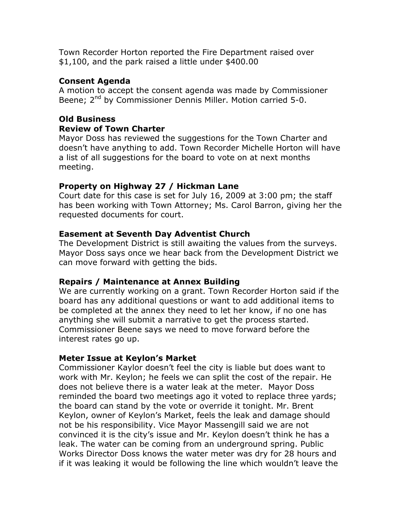Town Recorder Horton reported the Fire Department raised over \$1,100, and the park raised a little under \$400.00

## **Consent Agenda**

A motion to accept the consent agenda was made by Commissioner Beene; 2<sup>nd</sup> by Commissioner Dennis Miller. Motion carried 5-0.

#### **Old Business Review of Town Charter**

Mayor Doss has reviewed the suggestions for the Town Charter and doesn't have anything to add. Town Recorder Michelle Horton will have a list of all suggestions for the board to vote on at next months meeting.

## **Property on Highway 27 / Hickman Lane**

Court date for this case is set for July 16, 2009 at 3:00 pm; the staff has been working with Town Attorney; Ms. Carol Barron, giving her the requested documents for court.

## **Easement at Seventh Day Adventist Church**

The Development District is still awaiting the values from the surveys. Mayor Doss says once we hear back from the Development District we can move forward with getting the bids.

### **Repairs / Maintenance at Annex Building**

We are currently working on a grant. Town Recorder Horton said if the board has any additional questions or want to add additional items to be completed at the annex they need to let her know, if no one has anything she will submit a narrative to get the process started. Commissioner Beene says we need to move forward before the interest rates go up.

### **Meter Issue at Keylon's Market**

Commissioner Kaylor doesn't feel the city is liable but does want to work with Mr. Keylon; he feels we can split the cost of the repair. He does not believe there is a water leak at the meter. Mayor Doss reminded the board two meetings ago it voted to replace three yards; the board can stand by the vote or override it tonight. Mr. Brent Keylon, owner of Keylon's Market, feels the leak and damage should not be his responsibility. Vice Mayor Massengill said we are not convinced it is the city's issue and Mr. Keylon doesn't think he has a leak. The water can be coming from an underground spring. Public Works Director Doss knows the water meter was dry for 28 hours and if it was leaking it would be following the line which wouldn't leave the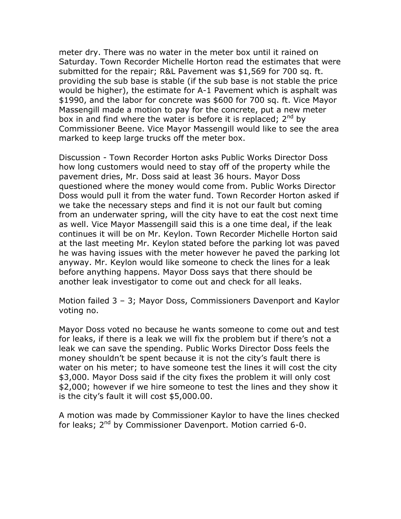meter dry. There was no water in the meter box until it rained on Saturday. Town Recorder Michelle Horton read the estimates that were submitted for the repair; R&L Pavement was \$1,569 for 700 sq. ft. providing the sub base is stable (if the sub base is not stable the price would be higher), the estimate for A-1 Pavement which is asphalt was \$1990, and the labor for concrete was \$600 for 700 sq. ft. Vice Mayor Massengill made a motion to pay for the concrete, put a new meter box in and find where the water is before it is replaced;  $2^{nd}$  by Commissioner Beene. Vice Mayor Massengill would like to see the area marked to keep large trucks off the meter box.

Discussion - Town Recorder Horton asks Public Works Director Doss how long customers would need to stay off of the property while the pavement dries, Mr. Doss said at least 36 hours. Mayor Doss questioned where the money would come from. Public Works Director Doss would pull it from the water fund. Town Recorder Horton asked if we take the necessary steps and find it is not our fault but coming from an underwater spring, will the city have to eat the cost next time as well. Vice Mayor Massengill said this is a one time deal, if the leak continues it will be on Mr. Keylon. Town Recorder Michelle Horton said at the last meeting Mr. Keylon stated before the parking lot was paved he was having issues with the meter however he paved the parking lot anyway. Mr. Keylon would like someone to check the lines for a leak before anything happens. Mayor Doss says that there should be another leak investigator to come out and check for all leaks.

Motion failed 3 – 3; Mayor Doss, Commissioners Davenport and Kaylor voting no.

Mayor Doss voted no because he wants someone to come out and test for leaks, if there is a leak we will fix the problem but if there's not a leak we can save the spending. Public Works Director Doss feels the money shouldn't be spent because it is not the city's fault there is water on his meter; to have someone test the lines it will cost the city \$3,000. Mayor Doss said if the city fixes the problem it will only cost \$2,000; however if we hire someone to test the lines and they show it is the city's fault it will cost \$5,000.00.

A motion was made by Commissioner Kaylor to have the lines checked for leaks;  $2^{nd}$  by Commissioner Davenport. Motion carried 6-0.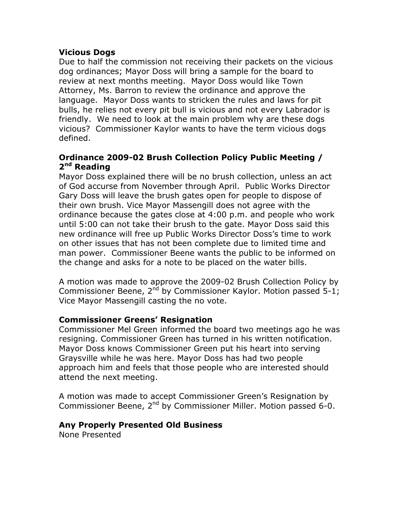### **Vicious Dogs**

Due to half the commission not receiving their packets on the vicious dog ordinances; Mayor Doss will bring a sample for the board to review at next months meeting. Mayor Doss would like Town Attorney, Ms. Barron to review the ordinance and approve the language. Mayor Doss wants to stricken the rules and laws for pit bulls, he relies not every pit bull is vicious and not every Labrador is friendly. We need to look at the main problem why are these dogs vicious? Commissioner Kaylor wants to have the term vicious dogs defined.

## **Ordinance 2009-02 Brush Collection Policy Public Meeting / 2nd Reading**

Mayor Doss explained there will be no brush collection, unless an act of God accurse from November through April. Public Works Director Gary Doss will leave the brush gates open for people to dispose of their own brush. Vice Mayor Massengill does not agree with the ordinance because the gates close at 4:00 p.m. and people who work until 5:00 can not take their brush to the gate. Mayor Doss said this new ordinance will free up Public Works Director Doss's time to work on other issues that has not been complete due to limited time and man power. Commissioner Beene wants the public to be informed on the change and asks for a note to be placed on the water bills.

A motion was made to approve the 2009-02 Brush Collection Policy by Commissioner Beene,  $2^{nd}$  by Commissioner Kaylor. Motion passed 5-1; Vice Mayor Massengill casting the no vote.

# **Commissioner Greens' Resignation**

Commissioner Mel Green informed the board two meetings ago he was resigning. Commissioner Green has turned in his written notification. Mayor Doss knows Commissioner Green put his heart into serving Graysville while he was here. Mayor Doss has had two people approach him and feels that those people who are interested should attend the next meeting.

A motion was made to accept Commissioner Green's Resignation by Commissioner Beene, 2<sup>nd</sup> by Commissioner Miller. Motion passed 6-0.

# **Any Properly Presented Old Business**

None Presented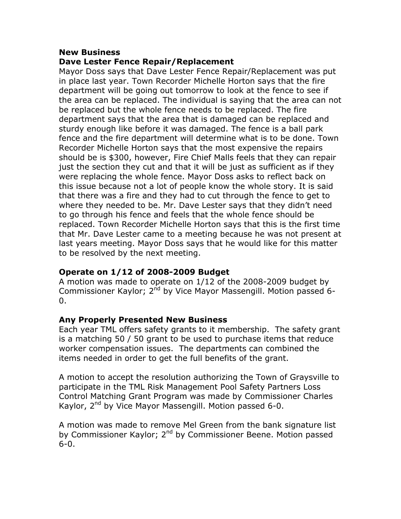#### **New Business**

### **Dave Lester Fence Repair/Replacement**

Mayor Doss says that Dave Lester Fence Repair/Replacement was put in place last year. Town Recorder Michelle Horton says that the fire department will be going out tomorrow to look at the fence to see if the area can be replaced. The individual is saying that the area can not be replaced but the whole fence needs to be replaced. The fire department says that the area that is damaged can be replaced and sturdy enough like before it was damaged. The fence is a ball park fence and the fire department will determine what is to be done. Town Recorder Michelle Horton says that the most expensive the repairs should be is \$300, however, Fire Chief Malls feels that they can repair just the section they cut and that it will be just as sufficient as if they were replacing the whole fence. Mayor Doss asks to reflect back on this issue because not a lot of people know the whole story. It is said that there was a fire and they had to cut through the fence to get to where they needed to be. Mr. Dave Lester says that they didn't need to go through his fence and feels that the whole fence should be replaced. Town Recorder Michelle Horton says that this is the first time that Mr. Dave Lester came to a meeting because he was not present at last years meeting. Mayor Doss says that he would like for this matter to be resolved by the next meeting.

### **Operate on 1/12 of 2008-2009 Budget**

A motion was made to operate on 1/12 of the 2008-2009 budget by Commissioner Kaylor; 2<sup>nd</sup> by Vice Mayor Massengill. Motion passed 6- $0<sub>-</sub>$ 

### **Any Properly Presented New Business**

Each year TML offers safety grants to it membership. The safety grant is a matching 50 / 50 grant to be used to purchase items that reduce worker compensation issues. The departments can combined the items needed in order to get the full benefits of the grant.

A motion to accept the resolution authorizing the Town of Graysville to participate in the TML Risk Management Pool Safety Partners Loss Control Matching Grant Program was made by Commissioner Charles Kaylor, 2<sup>nd</sup> by Vice Mayor Massengill. Motion passed 6-0.

A motion was made to remove Mel Green from the bank signature list by Commissioner Kaylor; 2<sup>nd</sup> by Commissioner Beene. Motion passed 6-0.